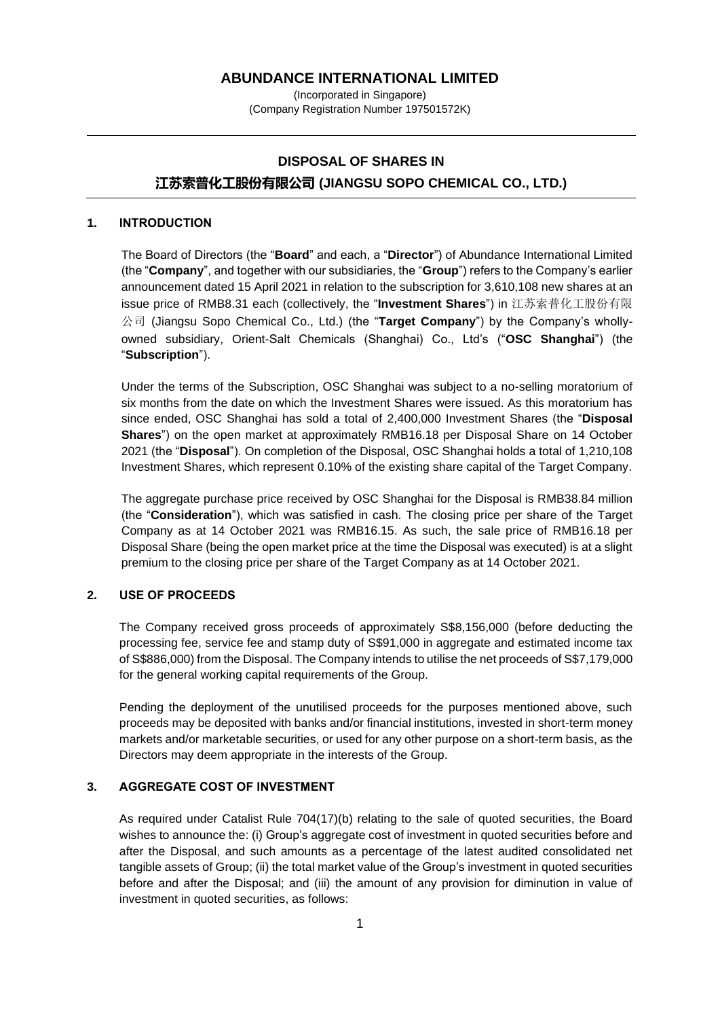#### **ABUNDANCE INTERNATIONAL LIMITED**

(Incorporated in Singapore) (Company Registration Number 197501572K)

# **DISPOSAL OF SHARES IN 江苏索普化工股份有限公司 (JIANGSU SOPO CHEMICAL CO., LTD.)**

### **1. INTRODUCTION**

The Board of Directors (the "**Board**" and each, a "**Director**") of Abundance International Limited (the "**Company**", and together with our subsidiaries, the "**Group**") refers to the Company's earlier announcement dated 15 April 2021 in relation to the subscription for 3,610,108 new shares at an issue price of RMB8.31 each (collectively, the "**Investment Shares**") in 江苏索普化工股份有限 公司 (Jiangsu Sopo Chemical Co., Ltd.) (the "**Target Company**") by the Company's whollyowned subsidiary, Orient-Salt Chemicals (Shanghai) Co., Ltd's ("**OSC Shanghai**") (the "**Subscription**").

Under the terms of the Subscription, OSC Shanghai was subject to a no-selling moratorium of six months from the date on which the Investment Shares were issued. As this moratorium has since ended, OSC Shanghai has sold a total of 2,400,000 Investment Shares (the "**Disposal Shares**") on the open market at approximately RMB16.18 per Disposal Share on 14 October 2021 (the "**Disposal**"). On completion of the Disposal, OSC Shanghai holds a total of 1,210,108 Investment Shares, which represent 0.10% of the existing share capital of the Target Company.

The aggregate purchase price received by OSC Shanghai for the Disposal is RMB38.84 million (the "**Consideration**"), which was satisfied in cash. The closing price per share of the Target Company as at 14 October 2021 was RMB16.15. As such, the sale price of RMB16.18 per Disposal Share (being the open market price at the time the Disposal was executed) is at a slight premium to the closing price per share of the Target Company as at 14 October 2021.

#### **2. USE OF PROCEEDS**

The Company received gross proceeds of approximately S\$8,156,000 (before deducting the processing fee, service fee and stamp duty of S\$91,000 in aggregate and estimated income tax of S\$886,000) from the Disposal. The Company intends to utilise the net proceeds of S\$7,179,000 for the general working capital requirements of the Group.

Pending the deployment of the unutilised proceeds for the purposes mentioned above, such proceeds may be deposited with banks and/or financial institutions, invested in short-term money markets and/or marketable securities, or used for any other purpose on a short-term basis, as the Directors may deem appropriate in the interests of the Group.

## **3. AGGREGATE COST OF INVESTMENT**

As required under Catalist Rule 704(17)(b) relating to the sale of quoted securities, the Board wishes to announce the: (i) Group's aggregate cost of investment in quoted securities before and after the Disposal, and such amounts as a percentage of the latest audited consolidated net tangible assets of Group; (ii) the total market value of the Group's investment in quoted securities before and after the Disposal; and (iii) the amount of any provision for diminution in value of investment in quoted securities, as follows: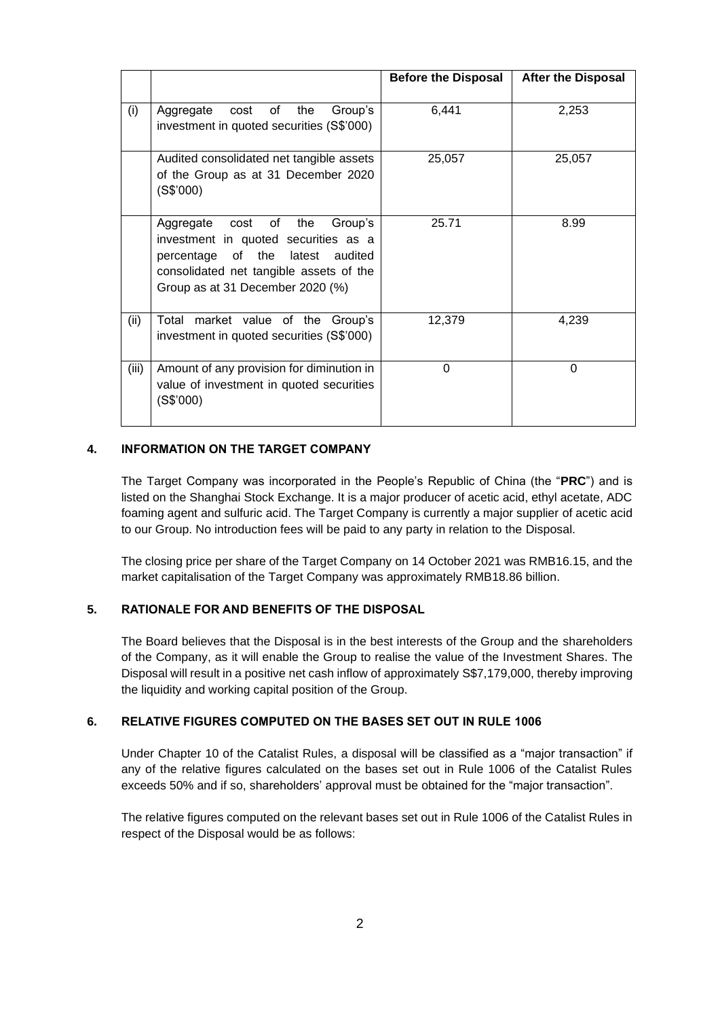|       |                                                                                                                                                                                                      | <b>Before the Disposal</b> | <b>After the Disposal</b> |
|-------|------------------------------------------------------------------------------------------------------------------------------------------------------------------------------------------------------|----------------------------|---------------------------|
| (i)   | the<br>Group's<br>cost of<br>Aggregate<br>investment in quoted securities (S\$'000)                                                                                                                  | 6,441                      | 2,253                     |
|       | Audited consolidated net tangible assets<br>of the Group as at 31 December 2020<br>(S\$'000)                                                                                                         | 25,057                     | 25,057                    |
|       | Aggregate<br>cost of the<br>Group's<br>investment in quoted securities as a<br>of the<br>latest audited<br>percentage<br>consolidated net tangible assets of the<br>Group as at 31 December 2020 (%) | 25.71                      | 8.99                      |
| (ii)  | market value of the Group's<br>Total<br>investment in quoted securities (S\$'000)                                                                                                                    | 12,379                     | 4,239                     |
| (iii) | Amount of any provision for diminution in<br>value of investment in quoted securities<br>(S\$'000)                                                                                                   | $\Omega$                   | $\Omega$                  |

## **4. INFORMATION ON THE TARGET COMPANY**

The Target Company was incorporated in the People's Republic of China (the "**PRC**") and is listed on the Shanghai Stock Exchange. It is a major producer of acetic acid, ethyl acetate, ADC foaming agent and sulfuric acid. The Target Company is currently a major supplier of acetic acid to our Group. No introduction fees will be paid to any party in relation to the Disposal.

The closing price per share of the Target Company on 14 October 2021 was RMB16.15, and the market capitalisation of the Target Company was approximately RMB18.86 billion.

# **5. RATIONALE FOR AND BENEFITS OF THE DISPOSAL**

The Board believes that the Disposal is in the best interests of the Group and the shareholders of the Company, as it will enable the Group to realise the value of the Investment Shares. The Disposal will result in a positive net cash inflow of approximately S\$7,179,000, thereby improving the liquidity and working capital position of the Group.

#### **6. RELATIVE FIGURES COMPUTED ON THE BASES SET OUT IN RULE 1006**

Under Chapter 10 of the Catalist Rules, a disposal will be classified as a "major transaction" if any of the relative figures calculated on the bases set out in Rule 1006 of the Catalist Rules exceeds 50% and if so, shareholders' approval must be obtained for the "major transaction".

The relative figures computed on the relevant bases set out in Rule 1006 of the Catalist Rules in respect of the Disposal would be as follows: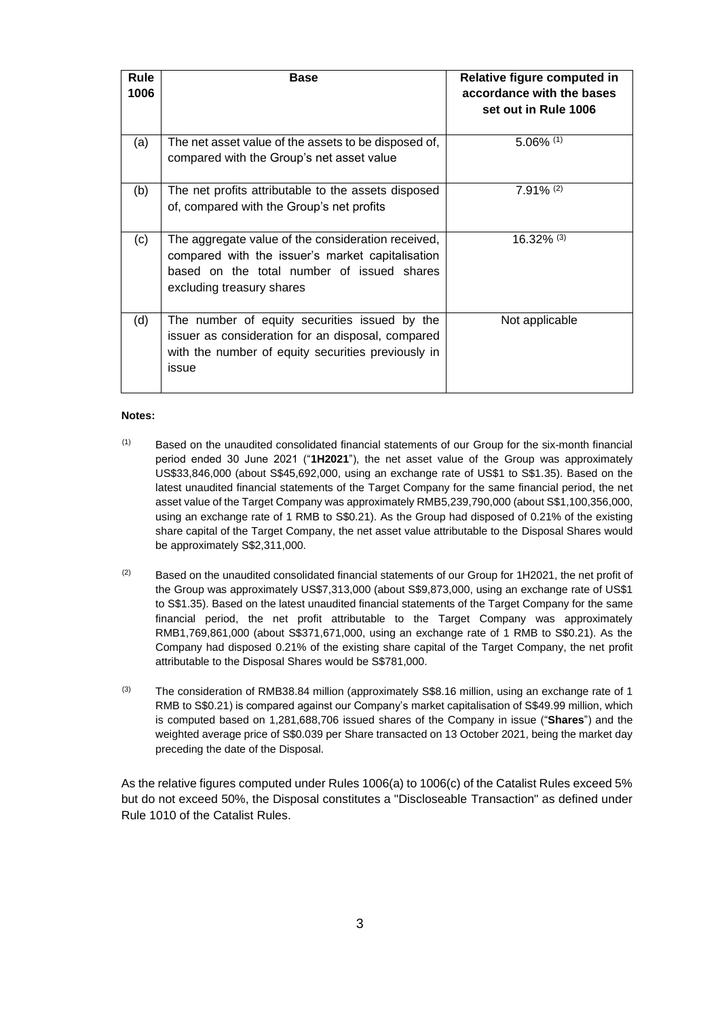| <b>Rule</b><br>1006 | <b>Base</b>                                                                                                                                                                       | Relative figure computed in<br>accordance with the bases<br>set out in Rule 1006 |
|---------------------|-----------------------------------------------------------------------------------------------------------------------------------------------------------------------------------|----------------------------------------------------------------------------------|
| (a)                 | The net asset value of the assets to be disposed of,<br>compared with the Group's net asset value                                                                                 | $5.06\%$ (1)                                                                     |
| (b)                 | The net profits attributable to the assets disposed<br>of, compared with the Group's net profits                                                                                  | $7.91\%$ (2)                                                                     |
| (c)                 | The aggregate value of the consideration received,<br>compared with the issuer's market capitalisation<br>based on the total number of issued shares<br>excluding treasury shares | $16.32\%$ (3)                                                                    |
| (d)                 | The number of equity securities issued by the<br>issuer as consideration for an disposal, compared<br>with the number of equity securities previously in<br>issue                 | Not applicable                                                                   |

#### **Notes:**

- $(1)$  Based on the unaudited consolidated financial statements of our Group for the six-month financial period ended 30 June 2021 ("**1H2021**"), the net asset value of the Group was approximately US\$33,846,000 (about S\$45,692,000, using an exchange rate of US\$1 to S\$1.35). Based on the latest unaudited financial statements of the Target Company for the same financial period, the net asset value of the Target Company was approximately RMB5,239,790,000 (about S\$1,100,356,000, using an exchange rate of 1 RMB to S\$0.21). As the Group had disposed of 0.21% of the existing share capital of the Target Company, the net asset value attributable to the Disposal Shares would be approximately S\$2,311,000.
- $(2)$  Based on the unaudited consolidated financial statements of our Group for 1H2021, the net profit of the Group was approximately US\$7,313,000 (about S\$9,873,000, using an exchange rate of US\$1 to S\$1.35). Based on the latest unaudited financial statements of the Target Company for the same financial period, the net profit attributable to the Target Company was approximately RMB1,769,861,000 (about S\$371,671,000, using an exchange rate of 1 RMB to S\$0.21). As the Company had disposed 0.21% of the existing share capital of the Target Company, the net profit attributable to the Disposal Shares would be S\$781,000.
- (3) The consideration of RMB38.84 million (approximately S\$8.16 million, using an exchange rate of 1 RMB to S\$0.21) is compared against our Company's market capitalisation of S\$49.99 million, which is computed based on 1,281,688,706 issued shares of the Company in issue ("**Shares**") and the weighted average price of S\$0.039 per Share transacted on 13 October 2021, being the market day preceding the date of the Disposal.

As the relative figures computed under Rules 1006(a) to 1006(c) of the Catalist Rules exceed 5% but do not exceed 50%, the Disposal constitutes a "Discloseable Transaction" as defined under Rule 1010 of the Catalist Rules.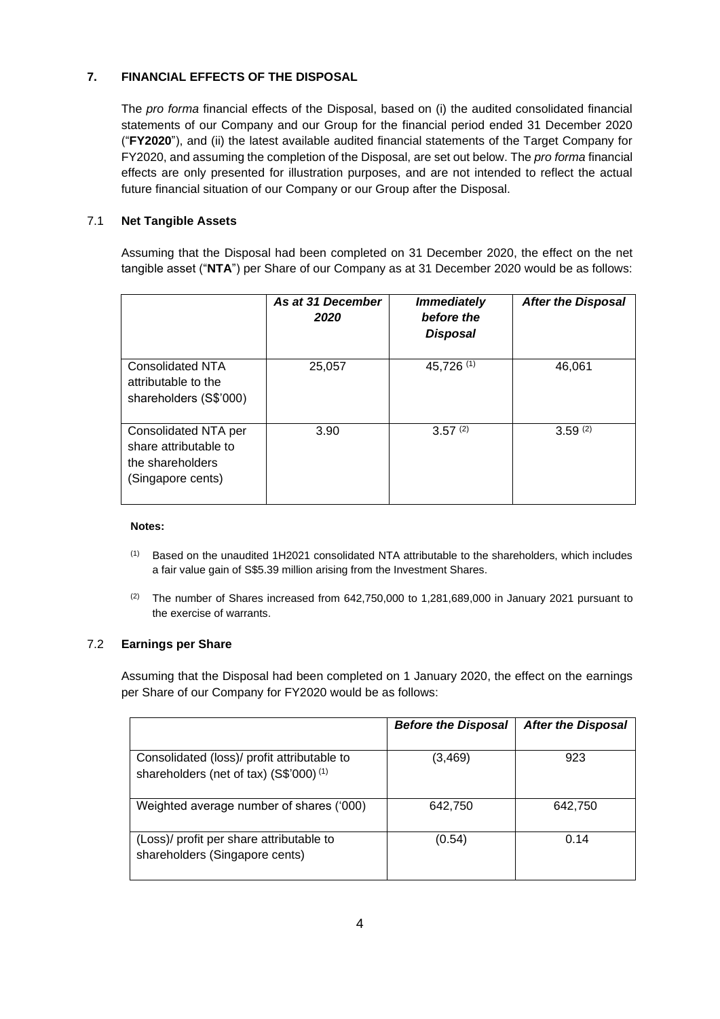# **7. FINANCIAL EFFECTS OF THE DISPOSAL**

The *pro forma* financial effects of the Disposal, based on (i) the audited consolidated financial statements of our Company and our Group for the financial period ended 31 December 2020 ("**FY2020**"), and (ii) the latest available audited financial statements of the Target Company for FY2020, and assuming the completion of the Disposal, are set out below. The *pro forma* financial effects are only presented for illustration purposes, and are not intended to reflect the actual future financial situation of our Company or our Group after the Disposal.

# 7.1 **Net Tangible Assets**

Assuming that the Disposal had been completed on 31 December 2020, the effect on the net tangible asset ("**NTA**") per Share of our Company as at 31 December 2020 would be as follows:

|                                                                                        | As at 31 December<br>2020 | <b>Immediately</b><br>before the<br><b>Disposal</b> | <b>After the Disposal</b> |
|----------------------------------------------------------------------------------------|---------------------------|-----------------------------------------------------|---------------------------|
| <b>Consolidated NTA</b><br>attributable to the<br>shareholders (S\$'000)               | 25,057                    | 45,726 (1)                                          | 46,061                    |
| Consolidated NTA per<br>share attributable to<br>the shareholders<br>(Singapore cents) | 3.90                      | $3.57^{(2)}$                                        | 3.59(2)                   |

#### **Notes:**

- (1) Based on the unaudited 1H2021 consolidated NTA attributable to the shareholders, which includes a fair value gain of S\$5.39 million arising from the Investment Shares.
- <sup>(2)</sup> The number of Shares increased from  $642,750,000$  to  $1,281,689,000$  in January 2021 pursuant to the exercise of warrants.

# 7.2 **Earnings per Share**

Assuming that the Disposal had been completed on 1 January 2020, the effect on the earnings per Share of our Company for FY2020 would be as follows:

|                                                                                                   | <b>Before the Disposal</b> | <b>After the Disposal</b> |
|---------------------------------------------------------------------------------------------------|----------------------------|---------------------------|
| Consolidated (loss)/ profit attributable to<br>shareholders (net of tax) (S\$'000) <sup>(1)</sup> | (3,469)                    | 923                       |
| Weighted average number of shares ('000)                                                          | 642.750                    | 642.750                   |
| (Loss)/ profit per share attributable to<br>shareholders (Singapore cents)                        | (0.54)                     | 0.14                      |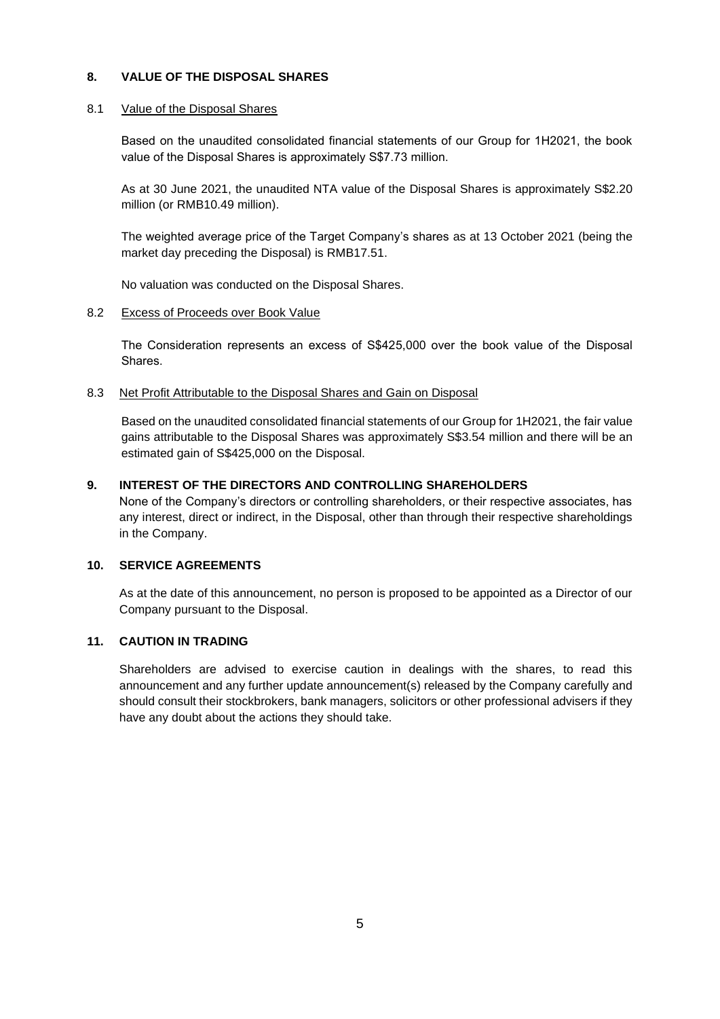# **8. VALUE OF THE DISPOSAL SHARES**

#### 8.1 Value of the Disposal Shares

Based on the unaudited consolidated financial statements of our Group for 1H2021, the book value of the Disposal Shares is approximately S\$7.73 million.

As at 30 June 2021, the unaudited NTA value of the Disposal Shares is approximately S\$2.20 million (or RMB10.49 million).

The weighted average price of the Target Company's shares as at 13 October 2021 (being the market day preceding the Disposal) is RMB17.51.

No valuation was conducted on the Disposal Shares.

#### 8.2 Excess of Proceeds over Book Value

The Consideration represents an excess of S\$425,000 over the book value of the Disposal Shares.

#### 8.3 Net Profit Attributable to the Disposal Shares and Gain on Disposal

Based on the unaudited consolidated financial statements of our Group for 1H2021, the fair value gains attributable to the Disposal Shares was approximately S\$3.54 million and there will be an estimated gain of S\$425,000 on the Disposal.

### **9. INTEREST OF THE DIRECTORS AND CONTROLLING SHAREHOLDERS**

None of the Company's directors or controlling shareholders, or their respective associates, has any interest, direct or indirect, in the Disposal, other than through their respective shareholdings in the Company.

# **10. SERVICE AGREEMENTS**

As at the date of this announcement, no person is proposed to be appointed as a Director of our Company pursuant to the Disposal.

# **11. CAUTION IN TRADING**

Shareholders are advised to exercise caution in dealings with the shares, to read this announcement and any further update announcement(s) released by the Company carefully and should consult their stockbrokers, bank managers, solicitors or other professional advisers if they have any doubt about the actions they should take.